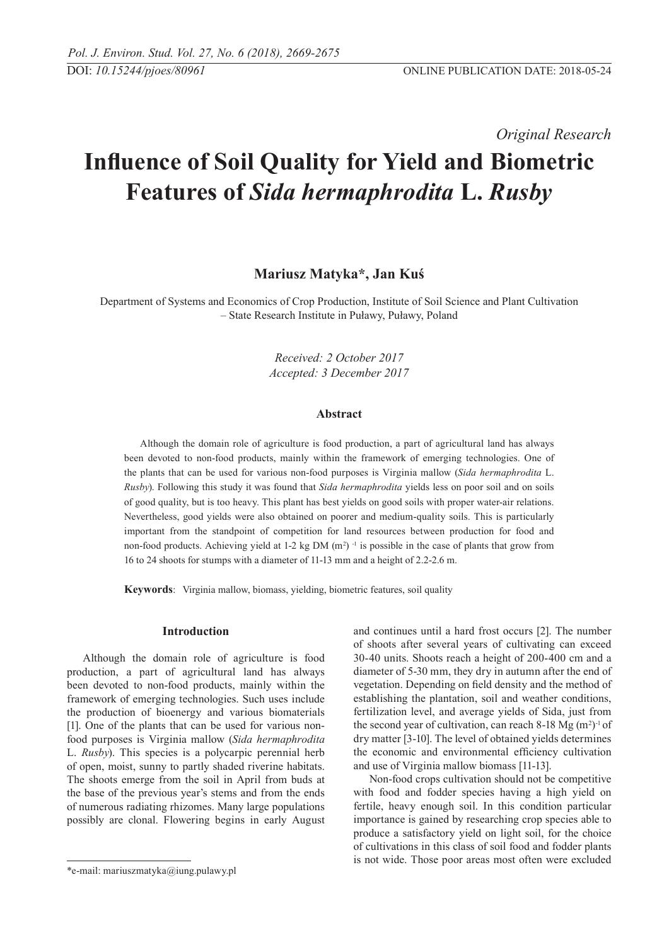*Original Research* 

# **Influence of Soil Quality for Yield and Biometric Features of** *Sida hermaphrodita* **L.** *Rusby*

## **Mariusz Matyka\*, Jan Kuś**

Department of Systems and Economics of Crop Production, Institute of Soil Science and Plant Cultivation – State Research Institute in Puławy, Puławy, Poland

> *Received: 2 October 2017 Accepted: 3 December 2017*

#### **Abstract**

Although the domain role of agriculture is food production, a part of agricultural land has always been devoted to non-food products, mainly within the framework of emerging technologies. One of the plants that can be used for various non-food purposes is Virginia mallow (*Sida hermaphrodita* L. *Rusby*). Following this study it was found that *Sida hermaphrodita* yields less on poor soil and on soils of good quality, but is too heavy. This plant has best yields on good soils with proper water-air relations. Nevertheless, good yields were also obtained on poorer and medium-quality soils. This is particularly important from the standpoint of competition for land resources between production for food and non-food products. Achieving yield at  $1-2$  kg DM (m<sup>2</sup>)<sup>-1</sup> is possible in the case of plants that grow from 16 to 24 shoots for stumps with a diameter of 11-13 mm and a height of 2.2-2.6 m.

**Keywords**: Virginia mallow, biomass, yielding, biometric features, soil quality

### **Introduction**

Although the domain role of agriculture is food production, a part of agricultural land has always been devoted to non-food products, mainly within the framework of emerging technologies. Such uses include the production of bioenergy and various biomaterials [1]. One of the plants that can be used for various nonfood purposes is Virginia mallow (*Sida hermaphrodita*  L. *Rusby*). This species is a polycarpic perennial herb of open, moist, sunny to partly shaded riverine habitats. The shoots emerge from the soil in April from buds at the base of the previous year's stems and from the ends of numerous radiating rhizomes. Many large populations possibly are clonal. Flowering begins in early August and continues until a hard frost occurs [2]. The number of shoots after several years of cultivating can exceed 30-40 units. Shoots reach a height of 200-400 cm and a diameter of 5-30 mm, they dry in autumn after the end of vegetation. Depending on field density and the method of establishing the plantation, soil and weather conditions, fertilization level, and average yields of Sida, just from the second year of cultivation, can reach  $8-18$  Mg (m<sup>2</sup>)<sup>-1</sup> of dry matter [3-10]. The level of obtained yields determines the economic and environmental efficiency cultivation and use of Virginia mallow biomass [11-13].

Non-food crops cultivation should not be competitive with food and fodder species having a high yield on fertile, heavy enough soil. In this condition particular importance is gained by researching crop species able to produce a satisfactory yield on light soil, for the choice of cultivations in this class of soil food and fodder plants is not wide. Those poor areas most often were excluded

<sup>\*</sup>e-mail: mariuszmatyka@iung.pulawy.pl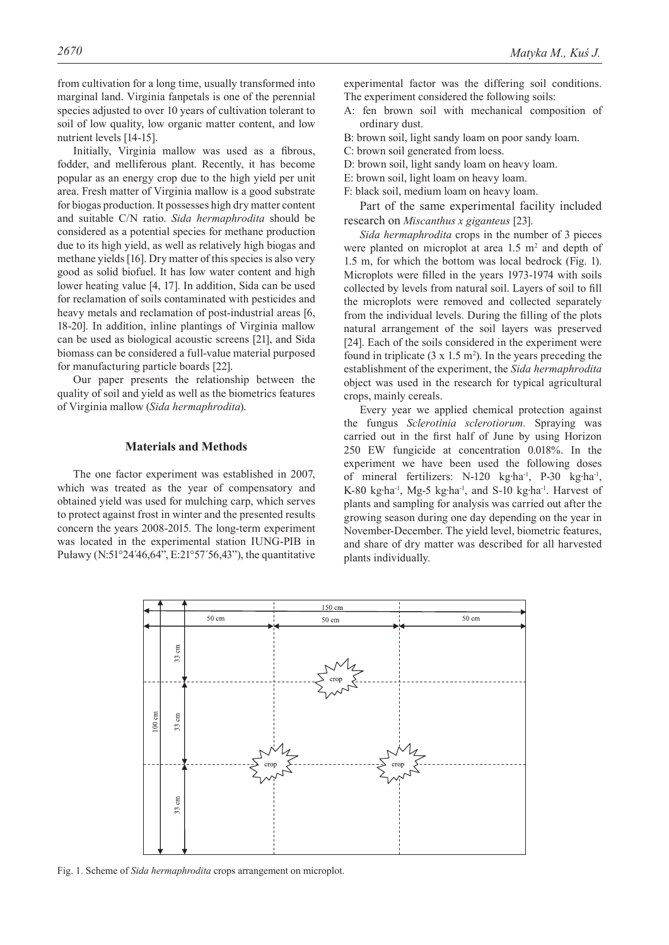from cultivation for a long time, usually transformed into marginal land. Virginia fanpetals is one of the perennial species adjusted to over 10 years of cultivation tolerant to soil of low quality, low organic matter content, and low nutrient levels [14-15].

Initially, Virginia mallow was used as a fibrous, fodder, and melliferous plant. Recently, it has become popular as an energy crop due to the high yield per unit area. Fresh matter of Virginia mallow is a good substrate for biogas production. It possesses high dry matter content and suitable C/N ratio. *Sida hermaphrodita* should be considered as a potential species for methane production due to its high yield, as well as relatively high biogas and methane yields [16]. Dry matter of this species is also very good as solid biofuel. It has low water content and high lower heating value [4, 17]. In addition, Sida can be used for reclamation of soils contaminated with pesticides and heavy metals and reclamation of post-industrial areas [6, 18-20]. In addition, inline plantings of Virginia mallow can be used as biological acoustic screens [21], and Sida biomass can be considered a full-value material purposed for manufacturing particle boards [22].

Our paper presents the relationship between the quality of soil and yield as well as the biometrics features of Virginia mallow (*Sida hermaphrodita*).

#### **Materials and Methods**

The one factor experiment was established in 2007, which was treated as the year of compensatory and obtained yield was used for mulching carp, which serves to protect against frost in winter and the presented results concern the years 2008-2015. The long-term experiment was located in the experimental station IUNG-PIB in Puławy (N:51°24´46,64", E:21°57´56,43"), the quantitative

experimental factor was the differing soil conditions. The experiment considered the following soils:

A: fen brown soil with mechanical composition of ordinary dust.

B: brown soil, light sandy loam on poor sandy loam.

- C: brown soil generated from loess.
- D: brown soil, light sandy loam on heavy loam.
- E: brown soil, light loam on heavy loam.
- F: black soil, medium loam on heavy loam.

Part of the same experimental facility included research on *Miscanthus x giganteus* [23].

*Sida hermaphrodita* crops in the number of 3 pieces were planted on microplot at area  $1.5 \text{ m}^2$  and depth of 1.5 m, for which the bottom was local bedrock (Fig. 1). Microplots were filled in the years 1973-1974 with soils collected by levels from natural soil. Layers of soil to fill the microplots were removed and collected separately from the individual levels. During the filling of the plots natural arrangement of the soil layers was preserved [24]. Each of the soils considered in the experiment were found in triplicate  $(3 \times 1.5 \text{ m}^2)$ . In the years preceding the establishment of the experiment, the *Sida hermaphrodita*  object was used in the research for typical agricultural crops, mainly cereals.

Every year we applied chemical protection against the fungus *Sclerotinia sclerotiorum.* Spraying was carried out in the first half of June by using Horizon 250 EW fungicide at concentration 0.018%. In the experiment we have been used the following doses of mineral fertilizers: N-120 kg·ha-1, P-30 kg·ha-1, K-80 kg·ha<sup>-1</sup>, Mg-5 kg·ha<sup>-1</sup>, and S-10 kg·ha<sup>-1</sup>. Harvest of plants and sampling for analysis was carried out after the growing season during one day depending on the year in November-December. The yield level, biometric features, and share of dry matter was described for all harvested plants individually.



Fig. 1. Scheme of *Sida hermaphrodita* crops arrangement on microplot.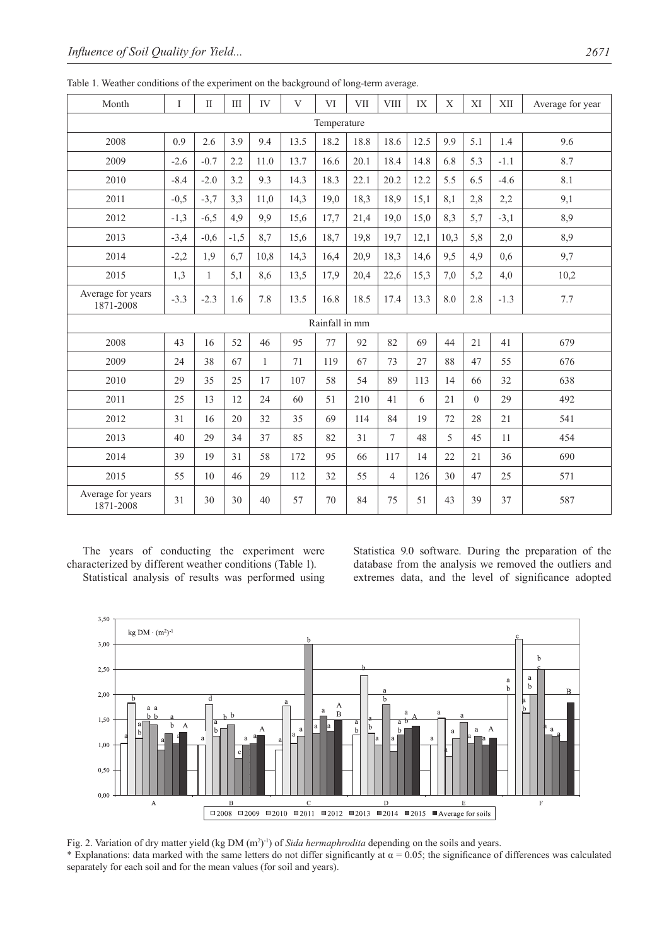| Month                          | $\mathbf I$ | $\rm II$ | $\rm III$ | IV           | V    | VI   | <b>VII</b> | <b>VIII</b>    | IX   | $\mathbf X$ | XI               | <b>XII</b> | Average for year |
|--------------------------------|-------------|----------|-----------|--------------|------|------|------------|----------------|------|-------------|------------------|------------|------------------|
|                                | Temperature |          |           |              |      |      |            |                |      |             |                  |            |                  |
| 2008                           | 0.9         | 2.6      | 3.9       | 9.4          | 13.5 | 18.2 | 18.8       | 18.6           | 12.5 | 9.9         | 5.1              | 1.4        | 9.6              |
| 2009                           | $-2.6$      | $-0.7$   | 2.2       | 11.0         | 13.7 | 16.6 | 20.1       | 18.4           | 14.8 | 6.8         | 5.3              | $-1.1$     | 8.7              |
| 2010                           | $-8.4$      | $-2.0$   | 3.2       | 9.3          | 14.3 | 18.3 | 22.1       | 20.2           | 12.2 | 5.5         | 6.5              | $-4.6$     | 8.1              |
| 2011                           | $-0,5$      | $-3,7$   | 3,3       | 11.0         | 14,3 | 19,0 | 18,3       | 18,9           | 15,1 | 8,1         | 2,8              | 2,2        | 9,1              |
| 2012                           | $-1,3$      | $-6,5$   | 4,9       | 9,9          | 15,6 | 17,7 | 21,4       | 19,0           | 15,0 | 8,3         | 5,7              | $-3,1$     | 8,9              |
| 2013                           | $-3,4$      | $-0,6$   | $-1,5$    | 8,7          | 15,6 | 18,7 | 19,8       | 19,7           | 12,1 | 10,3        | 5,8              | 2,0        | 8,9              |
| 2014                           | $-2,2$      | 1,9      | 6,7       | 10,8         | 14,3 | 16,4 | 20,9       | 18,3           | 14,6 | 9,5         | 4,9              | 0,6        | 9,7              |
| 2015                           | 1,3         | 1        | 5,1       | 8,6          | 13,5 | 17,9 | 20,4       | 22,6           | 15,3 | 7,0         | 5,2              | 4,0        | 10,2             |
| Average for years<br>1871-2008 | $-3.3$      | $-2.3$   | 1.6       | 7.8          | 13.5 | 16.8 | 18.5       | 17.4           | 13.3 | 8.0         | 2.8              | $-1.3$     | 7.7              |
| Rainfall in mm                 |             |          |           |              |      |      |            |                |      |             |                  |            |                  |
| 2008                           | 43          | 16       | 52        | 46           | 95   | 77   | 92         | 82             | 69   | 44          | 21               | 41         | 679              |
| 2009                           | 24          | 38       | 67        | $\mathbf{1}$ | 71   | 119  | 67         | 73             | 27   | 88          | 47               | 55         | 676              |
| 2010                           | 29          | 35       | 25        | 17           | 107  | 58   | 54         | 89             | 113  | 14          | 66               | 32         | 638              |
| 2011                           | 25          | 13       | 12        | 24           | 60   | 51   | 210        | 41             | 6    | 21          | $\boldsymbol{0}$ | 29         | 492              |
| 2012                           | 31          | 16       | 20        | 32           | 35   | 69   | 114        | 84             | 19   | 72          | 28               | 21         | 541              |
| 2013                           | 40          | 29       | 34        | 37           | 85   | 82   | 31         | $\tau$         | 48   | 5           | 45               | 11         | 454              |
| 2014                           | 39          | 19       | 31        | 58           | 172  | 95   | 66         | 117            | 14   | 22          | 21               | 36         | 690              |
| 2015                           | 55          | 10       | 46        | 29           | 112  | 32   | 55         | $\overline{4}$ | 126  | 30          | 47               | 25         | 571              |
| Average for years<br>1871-2008 | 31          | 30       | 30        | 40           | 57   | 70   | 84         | 75             | 51   | 43          | 39               | 37         | 587              |

Table 1. Weather conditions of the experiment on the background of long-term average.

The years of conducting the experiment were characterized by different weather conditions (Table 1). Statistical analysis of results was performed using Statistica 9.0 software. During the preparation of the database from the analysis we removed the outliers and extremes data, and the level of significance adopted



Fig. 2. Variation of dry matter yield (kg DM (m<sup>2</sup>)<sup>-1</sup>) of *Sida hermaphrodita* depending on the soils and years.

\* Explanations: data marked with the same letters do not differ significantly at  $\alpha = 0.05$ ; the significance of differences was calculated separately for each soil and for the mean values (for soil and years).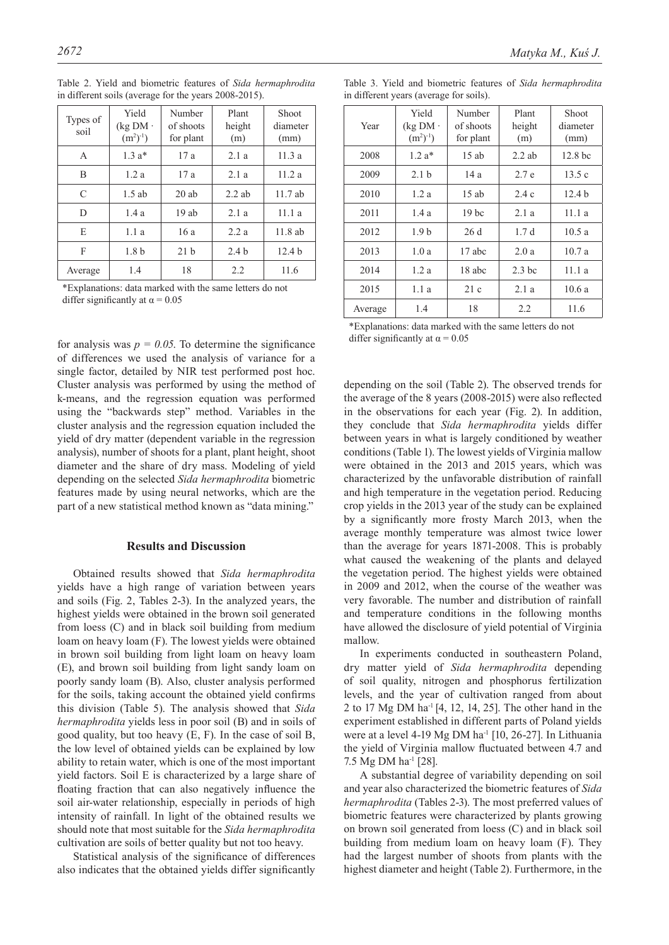| Types of<br>soil | Yield<br>$(kg DM \cdot$<br>$(m^2)^{-1}$ | Number<br>of shoots<br>for plant | Plant<br>height<br>(m) | <b>Shoot</b><br>diameter<br>(mm) |
|------------------|-----------------------------------------|----------------------------------|------------------------|----------------------------------|
| A                | $1.3a*$                                 | 17a                              | 2.1a                   | 11.3a                            |
| B                | 1.2a                                    | 17a                              | 2.1a                   | 11.2a                            |
| C                | $1.5$ ab                                | 20ab                             | $2.2$ ab               | 11.7ab                           |
| D                | 1.4a                                    | 19ab                             | 2.1a                   | 11.1a                            |
| E                | 1.1a                                    | 16a                              | 2.2a                   | $11.8$ ab                        |
| F                | 1.8 <sub>b</sub>                        | 21 <sub>b</sub>                  | 2.4 <sub>b</sub>       | 12.4 <sub>b</sub>                |
| Average          | 1.4                                     | 18                               | 2.2                    | 11.6                             |

Table 2. Yield and biometric features of *Sida hermaphrodita*  in different soils (average for the years 2008-2015).

\*Explanations: data marked with the same letters do not differ significantly at  $\alpha$  = 0.05

for analysis was  $p = 0.05$ . To determine the significance of differences we used the analysis of variance for a single factor, detailed by NIR test performed post hoc. Cluster analysis was performed by using the method of k-means, and the regression equation was performed using the "backwards step" method. Variables in the cluster analysis and the regression equation included the yield of dry matter (dependent variable in the regression analysis), number of shoots for a plant, plant height, shoot diameter and the share of dry mass. Modeling of yield depending on the selected *Sida hermaphrodita* biometric features made by using neural networks, which are the part of a new statistical method known as "data mining."

### **Results and Discussion**

Obtained results showed that *Sida hermaphrodita*  yields have a high range of variation between years and soils (Fig. 2, Tables 2-3). In the analyzed years, the highest yields were obtained in the brown soil generated from loess (C) and in black soil building from medium loam on heavy loam (F). The lowest yields were obtained in brown soil building from light loam on heavy loam (E), and brown soil building from light sandy loam on poorly sandy loam (B). Also, cluster analysis performed for the soils, taking account the obtained yield confirms this division (Table 5). The analysis showed that *Sida hermaphrodita* yields less in poor soil (B) and in soils of good quality, but too heavy (E, F). In the case of soil B, the low level of obtained yields can be explained by low ability to retain water, which is one of the most important yield factors. Soil E is characterized by a large share of floating fraction that can also negatively influence the soil air-water relationship, especially in periods of high intensity of rainfall. In light of the obtained results we should note that most suitable for the *Sida hermaphrodita*  cultivation are soils of better quality but not too heavy.

Statistical analysis of the significance of differences also indicates that the obtained yields differ significantly

|  |  |                                         |  | Table 3. Yield and biometric features of Sida hermaphrodita |
|--|--|-----------------------------------------|--|-------------------------------------------------------------|
|  |  | in different years (average for soils). |  |                                                             |

| Year    | Yield<br>$(kg DM \cdot$<br>$(m^2)^{-1}$ | Number<br>of shoots<br>for plant | Plant<br>height<br>(m) | Shoot<br>diameter<br>(mm) |
|---------|-----------------------------------------|----------------------------------|------------------------|---------------------------|
| 2008    | $1.2a*$                                 | $15$ ab                          | $2.2$ ab               | 12.8 <sub>b</sub>         |
| 2009    | 2.1 <sub>b</sub>                        | 14a                              | 2.7 e                  | 13.5c                     |
| 2010    | 1.2a                                    | $15$ ab                          | 2.4c                   | 12.4 <sub>b</sub>         |
| 2011    | 1.4a                                    | 19 <sub>bc</sub>                 | 2.1a                   | 11.1a                     |
| 2012    | 1.9 <sub>b</sub>                        | 26d                              | 1.7d                   | 10.5a                     |
| 2013    | 1.0a                                    | 17 abc                           | 2.0a                   | 10.7a                     |
| 2014    | 1.2a                                    | 18 abc                           | 2.3 <sub>bc</sub>      | 11.1a                     |
| 2015    | 1.1a                                    | 21c                              | 2.1a                   | 10.6a                     |
| Average | 1.4                                     | 18                               | 2.2                    | 11.6                      |

<sup>\*</sup>Explanations: data marked with the same letters do not differ significantly at  $\alpha$  = 0.05

depending on the soil (Table 2). The observed trends for the average of the 8 years (2008-2015) were also reflected in the observations for each year (Fig. 2). In addition, they conclude that *Sida hermaphrodita* yields differ between years in what is largely conditioned by weather conditions (Table 1). The lowest yields of Virginia mallow were obtained in the 2013 and 2015 years, which was characterized by the unfavorable distribution of rainfall and high temperature in the vegetation period. Reducing crop yields in the 2013 year of the study can be explained by a significantly more frosty March 2013, when the average monthly temperature was almost twice lower than the average for years 1871-2008. This is probably what caused the weakening of the plants and delayed the vegetation period. The highest yields were obtained in 2009 and 2012, when the course of the weather was very favorable. The number and distribution of rainfall and temperature conditions in the following months have allowed the disclosure of yield potential of Virginia mallow.

In experiments conducted in southeastern Poland, dry matter yield of *Sida hermaphrodita* depending of soil quality, nitrogen and phosphorus fertilization levels, and the year of cultivation ranged from about 2 to 17 Mg DM ha-1 [4, 12, 14, 25]. The other hand in the experiment established in different parts of Poland yields were at a level 4-19 Mg DM ha<sup>-1</sup> [10, 26-27]. In Lithuania the yield of Virginia mallow fluctuated between 4.7 and 7.5 Mg DM ha-1 [28].

A substantial degree of variability depending on soil and year also characterized the biometric features of *Sida hermaphrodita* (Tables 2-3). The most preferred values of biometric features were characterized by plants growing on brown soil generated from loess (C) and in black soil building from medium loam on heavy loam (F). They had the largest number of shoots from plants with the highest diameter and height (Table 2). Furthermore, in the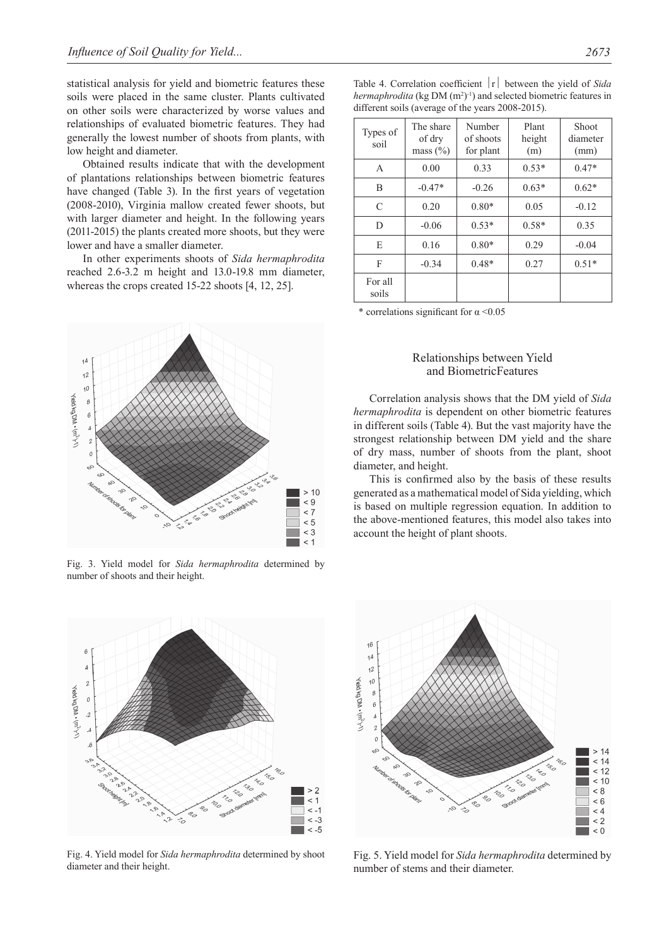statistical analysis for yield and biometric features these soils were placed in the same cluster. Plants cultivated on other soils were characterized by worse values and relationships of evaluated biometric features. They had generally the lowest number of shoots from plants, with low height and diameter.

Obtained results indicate that with the development of plantations relationships between biometric features have changed (Table 3). In the first years of vegetation (2008-2010), Virginia mallow created fewer shoots, but with larger diameter and height. In the following years (2011-2015) the plants created more shoots, but they were lower and have a smaller diameter.

In other experiments shoots of *Sida hermaphrodita*  reached 2.6-3.2 m height and 13.0-19.8 mm diameter, whereas the crops created 15-22 shoots [4, 12, 25].



Fig. 3. Yield model for *Sida hermaphrodita* determined by number of shoots and their height.



Fig. 4. Yield model for *Sida hermaphrodita* determined by shoot diameter and their height.

| different soils (average of the years 2008-2015). |                                     |                                  |                        |                           |  |  |
|---------------------------------------------------|-------------------------------------|----------------------------------|------------------------|---------------------------|--|--|
| Types of<br>soil                                  | The share<br>of dry<br>mass $(\% )$ | Number<br>of shoots<br>for plant | Plant<br>height<br>(m) | Shoot<br>diameter<br>(mm) |  |  |
| A                                                 | 0.00                                | 0.33                             | $0.53*$                | $0.47*$                   |  |  |
| B                                                 | $-0.47*$                            | $-0.26$                          | $0.63*$                | $0.62*$                   |  |  |
| C                                                 | 0.20                                | $0.80*$                          | 0.05                   | $-0.12$                   |  |  |
| D                                                 | $-0.06$                             | $0.53*$                          | $0.58*$                | 0.35                      |  |  |
| E                                                 | 0.16                                | $0.80*$                          | 0.29                   | $-0.04$                   |  |  |
| F                                                 | $-0.34$                             | $0.48*$                          | 0.27                   | $0.51*$                   |  |  |

Table 4. Correlation coefficient  $|r|$  between the yield of *Sida* hermaphrodita (kg DM (m<sup>2</sup>)<sup>-1</sup>) and selected biometric features in

\* correlations significant for  $\alpha$  <0.05

For all soils

#### Relationships between Yield and BiometricFeatures

Correlation analysis shows that the DM yield of *Sida hermaphrodita* is dependent on other biometric features in different soils (Table 4). But the vast majority have the strongest relationship between DM yield and the share of dry mass, number of shoots from the plant, shoot diameter, and height.

This is confirmed also by the basis of these results generated as a mathematical model of Sida yielding, which is based on multiple regression equation. In addition to the above-mentioned features, this model also takes into account the height of plant shoots.



Fig. 5. Yield model for *Sida hermaphrodita* determined by number of stems and their diameter.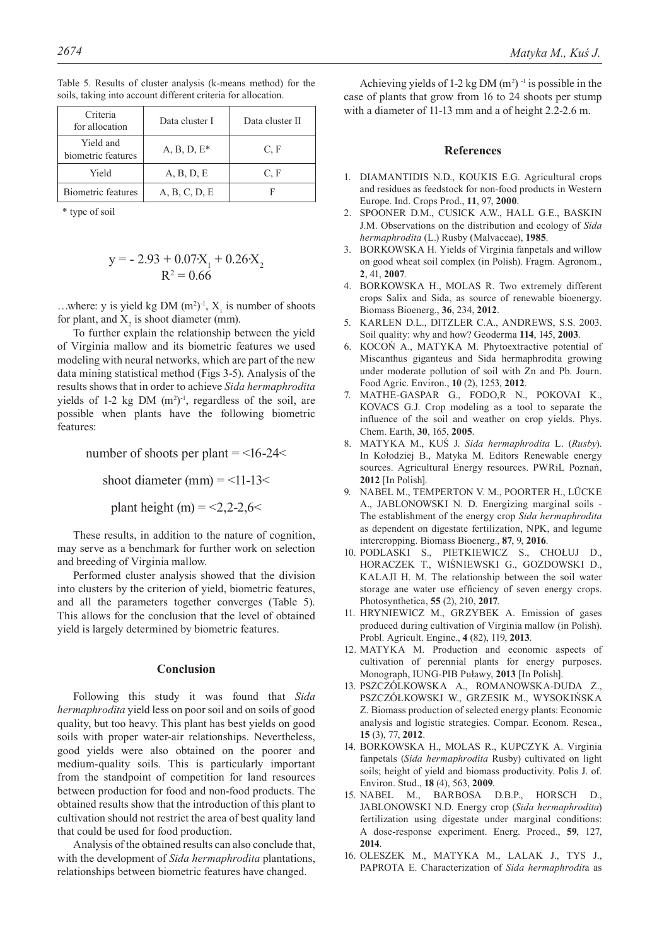| Criteria<br>for allocation      | Data cluster I | Data cluster II |  |  |
|---------------------------------|----------------|-----------------|--|--|
| Yield and<br>biometric features | A, B, D, $E^*$ | C, F            |  |  |
| Yield                           | A, B, D, E     | C, F            |  |  |
| <b>Biometric features</b>       | A, B, C, D, E  |                 |  |  |

Table 5. Results of cluster analysis (k-means method) for the soils, taking into account different criteria for allocation.

\* type of soil

$$
y = -2.93 + 0.07X_1 + 0.26X_2
$$
  

$$
R^2 = 0.66
$$

...where: y is yield kg DM  $(m^2)^{-1}$ ,  $X_1$  is number of shoots for plant, and  $X_2$  is shoot diameter (mm).

To further explain the relationship between the yield of Virginia mallow and its biometric features we used modeling with neural networks, which are part of the new data mining statistical method (Figs 3-5). Analysis of the results shows that in order to achieve *Sida hermaphrodita*  yields of 1-2 kg DM  $(m^2)^{-1}$ , regardless of the soil, are possible when plants have the following biometric features:

number of shoots per plant  $=$  <16-24 $<$ 

shoot diameter (mm)  $=$  <11-13 $<$ 

plant height (m) =  $<$ 2,2-2,6 $<$ 

These results, in addition to the nature of cognition, may serve as a benchmark for further work on selection and breeding of Virginia mallow.

Performed cluster analysis showed that the division into clusters by the criterion of yield, biometric features, and all the parameters together converges (Table 5). This allows for the conclusion that the level of obtained yield is largely determined by biometric features.

#### **Conclusion**

Following this study it was found that *Sida hermaphrodita* yield less on poor soil and on soils of good quality, but too heavy. This plant has best yields on good soils with proper water-air relationships. Nevertheless, good yields were also obtained on the poorer and medium-quality soils. This is particularly important from the standpoint of competition for land resources between production for food and non-food products. The obtained results show that the introduction of this plant to cultivation should not restrict the area of best quality land that could be used for food production.

Analysis of the obtained results can also conclude that, with the development of *Sida hermaphrodita* plantations, relationships between biometric features have changed.

Achieving yields of 1-2 kg DM  $(m^2)$ <sup>-1</sup> is possible in the case of plants that grow from 16 to 24 shoots per stump with a diameter of 11-13 mm and a of height 2.2-2.6 m.

#### **References**

- 1. DIAMANTIDIS N.D., KOUKIS E.G. Agricultural crops and residues as feedstock for non-food products in Western Europe. Ind. Crops Prod., **11**, 97, **2000**.
- 2. SPOONER D.M., CUSICK A.W., HALL G.E., BASKIN J.M. Observations on the distribution and ecology of *Sida hermaphrodita* (L.) Rusby (Malvaceae), **1985**.
- 3. BORKOWSKA H. Yields of Virginia fanpetals and willow on good wheat soil complex (in Polish). Fragm. Agronom., **2**, 41, **2007**.
- 4. BORKOWSKA H., MOLAS R. Two extremely different crops Salix and Sida, as source of renewable bioenergy. Biomass Bioenerg., **36**, 234, **2012**.
- 5. KARLEN D.L., DITZLER C.A., ANDREWS, S.S. 2003. Soil quality: why and how? Geoderma **114**, 145, **2003**.
- 6. KOCOŃ A., MATYKA M. Phytoextractive potential of Miscanthus giganteus and Sida hermaphrodita growing under moderate pollution of soil with Zn and Pb. Journ. Food Agric. Environ., **10** (2), 1253, **2012**.
- 7. MATHE-GASPAR G., FODO,R N., POKOVAI K., KOVACS G.J. Crop modeling as a tool to separate the influence of the soil and weather on crop yields. Phys. Chem. Earth, **30**, 165, **2005**.
- 8. MATYKA M., KUŚ J. *Sida hermaphrodita* L. (*Rusby*). In Kołodziej B., Matyka M. Editors Renewable energy sources. Agricultural Energy resources. PWRiL Poznań, **2012** [In Polish].
- 9. NABEL M., TEMPERTON V. M., POORTER H., LÜCKE A., JABLONOWSKI N. D. Energizing marginal soils - The establishment of the energy crop *Sida hermaphrodita* as dependent on digestate fertilization, NPK, and legume intercropping. Biomass Bioenerg., **87**, 9, **2016**.
- 10. PODLASKI S., PIETKIEWICZ S., CHOŁUJ D., HORACZEK T., WIŚNIEWSKI G., GOZDOWSKI D., KALAJI H. M. The relationship between the soil water storage ane water use efficiency of seven energy crops. Photosynthetica, **55** (2), 210, **2017**.
- 11. HRYNIEWICZ M., GRZYBEK A. Emission of gases produced during cultivation of Virginia mallow (in Polish). Probl. Agricult. Engine., **4** (82), 119, **2013**.
- 12. MATYKA M. Production and economic aspects of cultivation of perennial plants for energy purposes. Monograph, IUNG-PIB Puławy, **2013** [In Polish].
- 13. PSZCZÓLKOWSKA A., ROMANOWSKA-DUDA Z., PSZCZÓŁKOWSKI W., GRZESIK M., WYSOKIŃSKA Z. Biomass production of selected energy plants: Economic analysis and logistic strategies. Compar. Econom. Resea., **15** (3), 77, **2012**.
- 14. BORKOWSKA H., MOLAS R., KUPCZYK A. Virginia fanpetals (*Sida hermaphrodita* Rusby) cultivated on light soils; height of yield and biomass productivity. Polis J. of. Environ. Stud., **18** (4), 563, **2009**.
- 15. NABEL M., BARBOSA D.B.P., HORSCH D., JABLONOWSKI N.D. Energy crop (*Sida hermaphrodita*) fertilization using digestate under marginal conditions: A dose-response experiment. Energ. Proced., **59**, 127, **2014**.
- 16. OLESZEK M., MATYKA M., LALAK J., TYS J., PAPROTA E. Characterization of *Sida hermaphrodit*a as